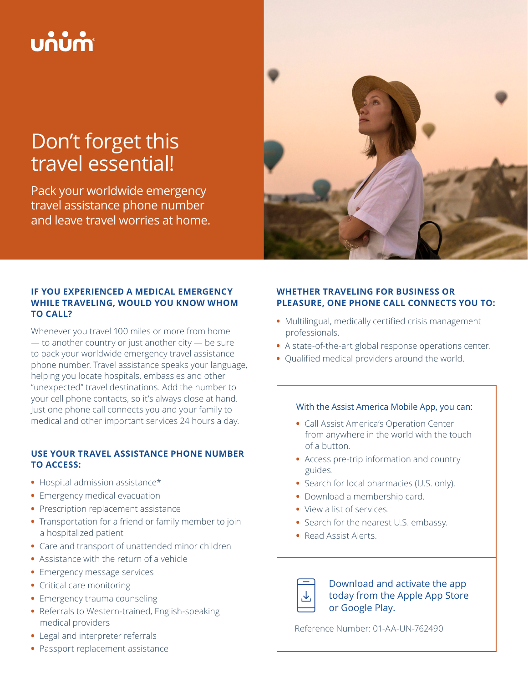# บก๋บ๋กำ

# Don't forget this travel essential!

Pack your worldwide emergency travel assistance phone number and leave travel worries at home.



# **IF YOU EXPERIENCED A MEDICAL EMERGENCY WHILE TRAVELING, WOULD YOU KNOW WHOM TO CALL?**

Whenever you travel 100 miles or more from home — to another country or just another city — be sure to pack your worldwide emergency travel assistance phone number. Travel assistance speaks your language, helping you locate hospitals, embassies and other "unexpected" travel destinations. Add the number to your cell phone contacts, so it's always close at hand. Just one phone call connects you and your family to medical and other important services 24 hours a day.

## **USE YOUR TRAVEL ASSISTANCE PHONE NUMBER TO ACCESS:**

- **•** Hospital admission assistance\*
- **•** Emergency medical evacuation
- **•** Prescription replacement assistance
- **•** Transportation for a friend or family member to join a hospitalized patient
- **•** Care and transport of unattended minor children
- **•** Assistance with the return of a vehicle
- **•** Emergency message services
- **•** Critical care monitoring
- **•** Emergency trauma counseling
- **•** Referrals to Western-trained, English-speaking medical providers
- **•** Legal and interpreter referrals
- **•** Passport replacement assistance

# **WHETHER TRAVELING FOR BUSINESS OR PLEASURE, ONE PHONE CALL CONNECTS YOU TO:**

- **•** Multilingual, medically certified crisis management professionals.
- **•** A state-of-the-art global response operations center.
- **•** Qualified medical providers around the world.

#### With the Assist America Mobile App, you can:

- **•** Call Assist America's Operation Center from anywhere in the world with the touch of a button.
- **•** Access pre-trip information and country guides.
- **•** Search for local pharmacies (U.S. only).
- **•** Download a membership card.
- **•** View a list of services.
- **•** Search for the nearest U.S. embassy.
- **•** Read Assist Alerts.



Download and activate the app today from the Apple App Store or Google Play.

Reference Number: 01-AA-UN-762490